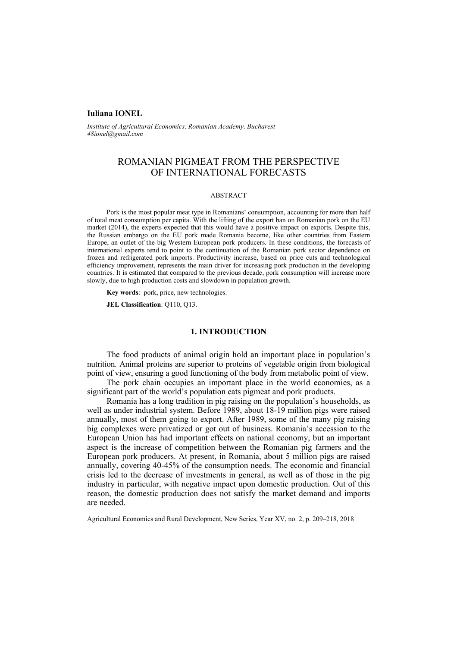### **Iuliana IONEL**

*Institute of Agricultural Economics, Romanian Academy, Bucharest 48ionel@gmail.com*

# ROMANIAN PIGMEAT FROM THE PERSPECTIVE OF INTERNATIONAL FORECASTS

#### ABSTRACT

Pork is the most popular meat type in Romanians' consumption, accounting for more than half of total meat consumption per capita. With the lifting of the export ban on Romanian pork on the EU market (2014), the experts expected that this would have a positive impact on exports. Despite this, the Russian embargo on the EU pork made Romania become, like other countries from Eastern Europe, an outlet of the big Western European pork producers. In these conditions, the forecasts of international experts tend to point to the continuation of the Romanian pork sector dependence on frozen and refrigerated pork imports. Productivity increase, based on price cuts and technological efficiency improvement, represents the main driver for increasing pork production in the developing countries. It is estimated that compared to the previous decade, pork consumption will increase more slowly, due to high production costs and slowdown in population growth.

**Key words**: pork, price, new technologies.

**JEL Classification**: Q110, Q13.

## **1. INTRODUCTION**

The food products of animal origin hold an important place in population's nutrition. Animal proteins are superior to proteins of vegetable origin from biological point of view, ensuring a good functioning of the body from metabolic point of view.

The pork chain occupies an important place in the world economies, as a significant part of the world's population eats pigmeat and pork products.

Romania has a long tradition in pig raising on the population's households, as well as under industrial system. Before 1989, about 18-19 million pigs were raised annually, most of them going to export. After 1989, some of the many pig raising big complexes were privatized or got out of business. Romania's accession to the European Union has had important effects on national economy, but an important aspect is the increase of competition between the Romanian pig farmers and the European pork producers. At present, in Romania, about 5 million pigs are raised annually, covering 40-45% of the consumption needs. The economic and financial crisis led to the decrease of investments in general, as well as of those in the pig industry in particular, with negative impact upon domestic production. Out of this reason, the domestic production does not satisfy the market demand and imports are needed.

Agricultural Economics and Rural Development, New Series, Year XV, no. 2, p. 209–218, 2018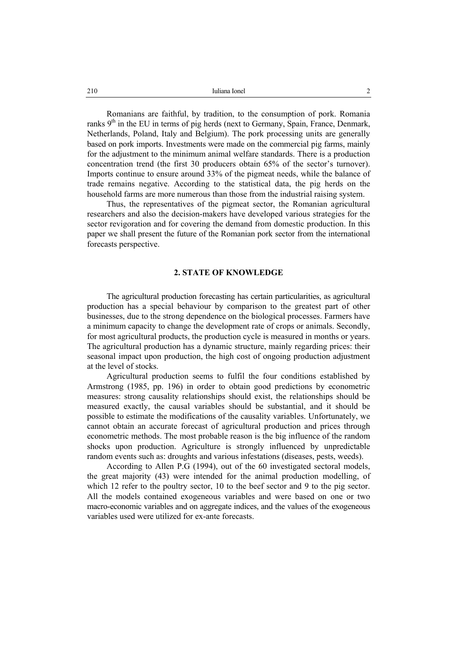Romanians are faithful, by tradition, to the consumption of pork. Romania ranks  $9<sup>th</sup>$  in the EU in terms of pig herds (next to Germany, Spain, France, Denmark, Netherlands, Poland, Italy and Belgium). The pork processing units are generally based on pork imports. Investments were made on the commercial pig farms, mainly for the adjustment to the minimum animal welfare standards. There is a production concentration trend (the first 30 producers obtain 65% of the sector's turnover). Imports continue to ensure around 33% of the pigmeat needs, while the balance of trade remains negative. According to the statistical data, the pig herds on the household farms are more numerous than those from the industrial raising system.

Thus, the representatives of the pigmeat sector, the Romanian agricultural researchers and also the decision-makers have developed various strategies for the sector revigoration and for covering the demand from domestic production. In this paper we shall present the future of the Romanian pork sector from the international forecasts perspective.

## **2. STATE OF KNOWLEDGE**

The agricultural production forecasting has certain particularities, as agricultural production has a special behaviour by comparison to the greatest part of other businesses, due to the strong dependence on the biological processes. Farmers have a minimum capacity to change the development rate of crops or animals. Secondly, for most agricultural products, the production cycle is measured in months or years. The agricultural production has a dynamic structure, mainly regarding prices: their seasonal impact upon production, the high cost of ongoing production adjustment at the level of stocks.

Agricultural production seems to fulfil the four conditions established by Armstrong (1985, pp. 196) in order to obtain good predictions by econometric measures: strong causality relationships should exist, the relationships should be measured exactly, the causal variables should be substantial, and it should be possible to estimate the modifications of the causality variables. Unfortunately, we cannot obtain an accurate forecast of agricultural production and prices through econometric methods. The most probable reason is the big influence of the random shocks upon production. Agriculture is strongly influenced by unpredictable random events such as: droughts and various infestations (diseases, pests, weeds).

According to Allen P.G (1994), out of the 60 investigated sectoral models, the great majority (43) were intended for the animal production modelling, of which 12 refer to the poultry sector, 10 to the beef sector and 9 to the pig sector. All the models contained exogeneous variables and were based on one or two macro-economic variables and on aggregate indices, and the values of the exogeneous variables used were utilized for ex-ante forecasts.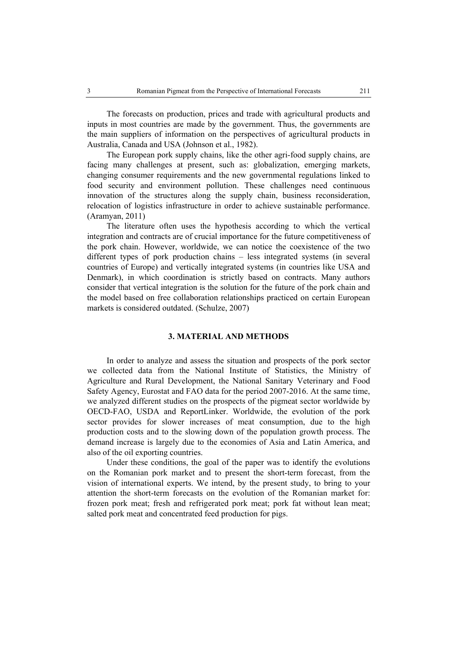The forecasts on production, prices and trade with agricultural products and inputs in most countries are made by the government. Thus, the governments are the main suppliers of information on the perspectives of agricultural products in Australia, Canada and USA (Johnson et al., 1982).

The European pork supply chains, like the other agri-food supply chains, are facing many challenges at present, such as: globalization, emerging markets, changing consumer requirements and the new governmental regulations linked to food security and environment pollution. These challenges need continuous innovation of the structures along the supply chain, business reconsideration, relocation of logistics infrastructure in order to achieve sustainable performance. (Aramyan, 2011)

The literature often uses the hypothesis according to which the vertical integration and contracts are of crucial importance for the future competitiveness of the pork chain. However, worldwide, we can notice the coexistence of the two different types of pork production chains – less integrated systems (in several countries of Europe) and vertically integrated systems (in countries like USA and Denmark), in which coordination is strictly based on contracts. Many authors consider that vertical integration is the solution for the future of the pork chain and the model based on free collaboration relationships practiced on certain European markets is considered outdated. (Schulze, 2007)

### **3. MATERIAL AND METHODS**

In order to analyze and assess the situation and prospects of the pork sector we collected data from the National Institute of Statistics, the Ministry of Agriculture and Rural Development, the National Sanitary Veterinary and Food Safety Agency, Eurostat and FAO data for the period 2007-2016. At the same time, we analyzed different studies on the prospects of the pigmeat sector worldwide by OECD-FAO, USDA and ReportLinker. Worldwide, the evolution of the pork sector provides for slower increases of meat consumption, due to the high production costs and to the slowing down of the population growth process. The demand increase is largely due to the economies of Asia and Latin America, and also of the oil exporting countries.

Under these conditions, the goal of the paper was to identify the evolutions on the Romanian pork market and to present the short-term forecast, from the vision of international experts. We intend, by the present study, to bring to your attention the short-term forecasts on the evolution of the Romanian market for: frozen pork meat; fresh and refrigerated pork meat; pork fat without lean meat; salted pork meat and concentrated feed production for pigs.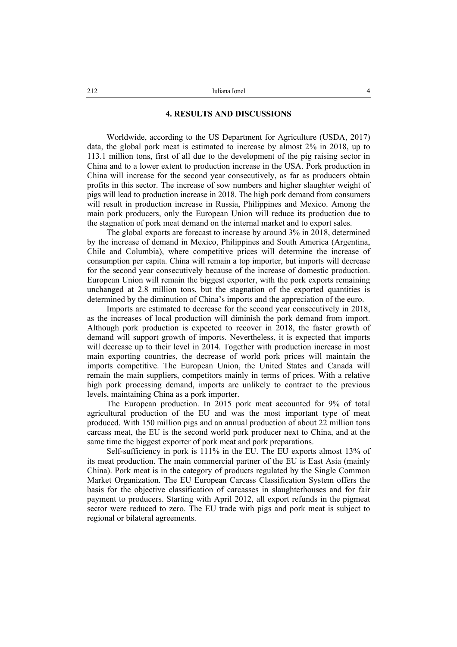### **4. RESULTS AND DISCUSSIONS**

Worldwide, according to the US Department for Agriculture (USDA, 2017) data, the global pork meat is estimated to increase by almost 2% in 2018, up to 113.1 million tons, first of all due to the development of the pig raising sector in China and to a lower extent to production increase in the USA. Pork production in China will increase for the second year consecutively, as far as producers obtain profits in this sector. The increase of sow numbers and higher slaughter weight of pigs will lead to production increase in 2018. The high pork demand from consumers will result in production increase in Russia, Philippines and Mexico. Among the main pork producers, only the European Union will reduce its production due to the stagnation of pork meat demand on the internal market and to export sales.

The global exports are forecast to increase by around 3% in 2018, determined by the increase of demand in Mexico, Philippines and South America (Argentina, Chile and Columbia), where competitive prices will determine the increase of consumption per capita. China will remain a top importer, but imports will decrease for the second year consecutively because of the increase of domestic production. European Union will remain the biggest exporter, with the pork exports remaining unchanged at 2.8 million tons, but the stagnation of the exported quantities is determined by the diminution of China's imports and the appreciation of the euro.

Imports are estimated to decrease for the second year consecutively in 2018, as the increases of local production will diminish the pork demand from import. Although pork production is expected to recover in 2018, the faster growth of demand will support growth of imports. Nevertheless, it is expected that imports will decrease up to their level in 2014. Together with production increase in most main exporting countries, the decrease of world pork prices will maintain the imports competitive. The European Union, the United States and Canada will remain the main suppliers, competitors mainly in terms of prices. With a relative high pork processing demand, imports are unlikely to contract to the previous levels, maintaining China as a pork importer.

The European production. In 2015 pork meat accounted for 9% of total agricultural production of the EU and was the most important type of meat produced. With 150 million pigs and an annual production of about 22 million tons carcass meat, the EU is the second world pork producer next to China, and at the same time the biggest exporter of pork meat and pork preparations.

Self-sufficiency in pork is 111% in the EU. The EU exports almost 13% of its meat production. The main commercial partner of the EU is East Asia (mainly China). Pork meat is in the category of products regulated by the Single Common Market Organization. The EU European Carcass Classification System offers the basis for the objective classification of carcasses in slaughterhouses and for fair payment to producers. Starting with April 2012, all export refunds in the pigmeat sector were reduced to zero. The EU trade with pigs and pork meat is subject to regional or bilateral agreements.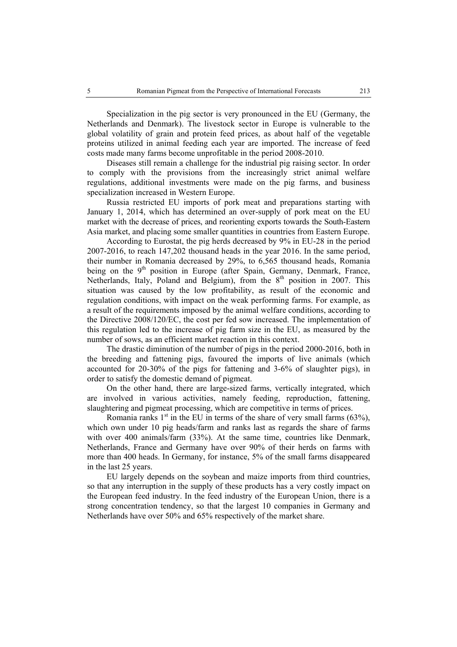Specialization in the pig sector is very pronounced in the EU (Germany, the Netherlands and Denmark). The livestock sector in Europe is vulnerable to the global volatility of grain and protein feed prices, as about half of the vegetable proteins utilized in animal feeding each year are imported. The increase of feed costs made many farms become unprofitable in the period 2008-2010.

Diseases still remain a challenge for the industrial pig raising sector. In order to comply with the provisions from the increasingly strict animal welfare regulations, additional investments were made on the pig farms, and business specialization increased in Western Europe.

Russia restricted EU imports of pork meat and preparations starting with January 1, 2014, which has determined an over-supply of pork meat on the EU market with the decrease of prices, and reorienting exports towards the South-Eastern Asia market, and placing some smaller quantities in countries from Eastern Europe.

According to Eurostat, the pig herds decreased by 9% in EU-28 in the period 2007-2016, to reach 147,202 thousand heads in the year 2016. In the same period, their number in Romania decreased by 29%, to 6,565 thousand heads, Romania being on the  $9<sup>th</sup>$  position in Europe (after Spain, Germany, Denmark, France, Netherlands, Italy, Poland and Belgium), from the 8<sup>th</sup> position in 2007. This situation was caused by the low profitability, as result of the economic and regulation conditions, with impact on the weak performing farms. For example, as a result of the requirements imposed by the animal welfare conditions, according to the Directive 2008/120/EC, the cost per fed sow increased. The implementation of this regulation led to the increase of pig farm size in the EU, as measured by the number of sows, as an efficient market reaction in this context.

The drastic diminution of the number of pigs in the period 2000-2016, both in the breeding and fattening pigs, favoured the imports of live animals (which accounted for 20-30% of the pigs for fattening and 3-6% of slaughter pigs), in order to satisfy the domestic demand of pigmeat.

On the other hand, there are large-sized farms, vertically integrated, which are involved in various activities, namely feeding, reproduction, fattening, slaughtering and pigmeat processing, which are competitive in terms of prices.

Romania ranks  $1<sup>st</sup>$  in the EU in terms of the share of very small farms (63%), which own under 10 pig heads/farm and ranks last as regards the share of farms with over 400 animals/farm (33%). At the same time, countries like Denmark, Netherlands, France and Germany have over 90% of their herds on farms with more than 400 heads. In Germany, for instance, 5% of the small farms disappeared in the last 25 years.

EU largely depends on the soybean and maize imports from third countries, so that any interruption in the supply of these products has a very costly impact on the European feed industry. In the feed industry of the European Union, there is a strong concentration tendency, so that the largest 10 companies in Germany and Netherlands have over 50% and 65% respectively of the market share.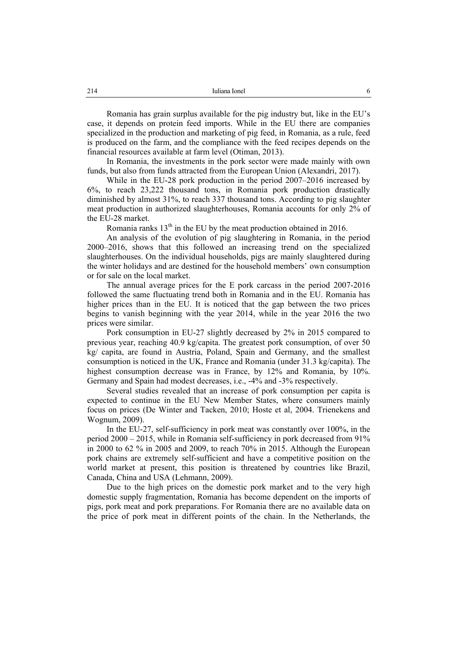Romania has grain surplus available for the pig industry but, like in the EU's case, it depends on protein feed imports. While in the EU there are companies specialized in the production and marketing of pig feed, in Romania, as a rule, feed is produced on the farm, and the compliance with the feed recipes depends on the financial resources available at farm level (Otiman, 2013).

In Romania, the investments in the pork sector were made mainly with own funds, but also from funds attracted from the European Union (Alexandri, 2017).

While in the EU-28 pork production in the period 2007–2016 increased by 6%, to reach 23,222 thousand tons, in Romania pork production drastically diminished by almost 31%, to reach 337 thousand tons. According to pig slaughter meat production in authorized slaughterhouses, Romania accounts for only 2% of the EU-28 market.

Romania ranks  $13<sup>th</sup>$  in the EU by the meat production obtained in 2016.

An analysis of the evolution of pig slaughtering in Romania, in the period 2000–2016, shows that this followed an increasing trend on the specialized slaughterhouses. On the individual households, pigs are mainly slaughtered during the winter holidays and are destined for the household members' own consumption or for sale on the local market.

The annual average prices for the E pork carcass in the period 2007-2016 followed the same fluctuating trend both in Romania and in the EU. Romania has higher prices than in the EU. It is noticed that the gap between the two prices begins to vanish beginning with the year 2014, while in the year 2016 the two prices were similar.

Pork consumption in EU-27 slightly decreased by 2% in 2015 compared to previous year, reaching 40.9 kg/capita. The greatest pork consumption, of over 50 kg/ capita, are found in Austria, Poland, Spain and Germany, and the smallest consumption is noticed in the UK, France and Romania (under 31.3 kg/capita). The highest consumption decrease was in France, by 12% and Romania, by 10%. Germany and Spain had modest decreases, i.e., -4% and -3% respectively.

Several studies revealed that an increase of pork consumption per capita is expected to continue in the EU New Member States, where consumers mainly focus on prices (De Winter and Tacken, 2010; Hoste et al, 2004. Trienekens and Wognum, 2009).

In the EU-27, self-sufficiency in pork meat was constantly over 100%, in the period 2000 – 2015, while in Romania self-sufficiency in pork decreased from 91% in 2000 to 62 % in 2005 and 2009, to reach 70% in 2015. Although the European pork chains are extremely self-sufficient and have a competitive position on the world market at present, this position is threatened by countries like Brazil, Canada, China and USA (Lehmann, 2009).

Due to the high prices on the domestic pork market and to the very high domestic supply fragmentation, Romania has become dependent on the imports of pigs, pork meat and pork preparations. For Romania there are no available data on the price of pork meat in different points of the chain. In the Netherlands, the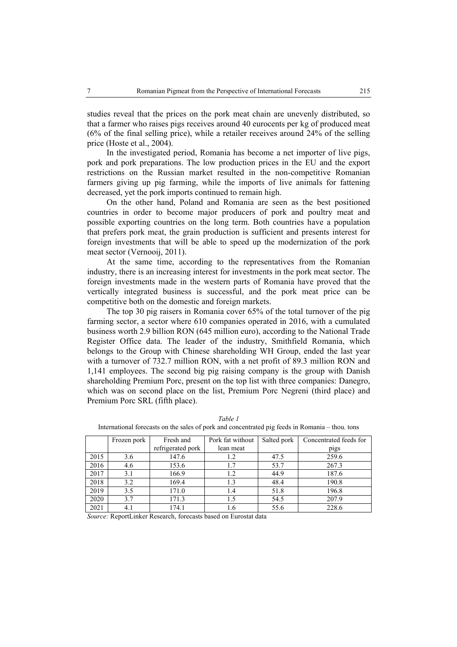studies reveal that the prices on the pork meat chain are unevenly distributed, so that a farmer who raises pigs receives around 40 eurocents per kg of produced meat (6% of the final selling price), while a retailer receives around 24% of the selling price (Hoste et al., 2004).

In the investigated period, Romania has become a net importer of live pigs, pork and pork preparations. The low production prices in the EU and the export restrictions on the Russian market resulted in the non-competitive Romanian farmers giving up pig farming, while the imports of live animals for fattening decreased, yet the pork imports continued to remain high.

On the other hand, Poland and Romania are seen as the best positioned countries in order to become major producers of pork and poultry meat and possible exporting countries on the long term. Both countries have a population that prefers pork meat, the grain production is sufficient and presents interest for foreign investments that will be able to speed up the modernization of the pork meat sector (Vernooij, 2011).

At the same time, according to the representatives from the Romanian industry, there is an increasing interest for investments in the pork meat sector. The foreign investments made in the western parts of Romania have proved that the vertically integrated business is successful, and the pork meat price can be competitive both on the domestic and foreign markets.

The top 30 pig raisers in Romania cover 65% of the total turnover of the pig farming sector, a sector where 610 companies operated in 2016, with a cumulated business worth 2.9 billion RON (645 million euro), according to the National Trade Register Office data. The leader of the industry, Smithfield Romania, which belongs to the Group with Chinese shareholding WH Group, ended the last year with a turnover of 732.7 million RON, with a net profit of 89.3 million RON and 1,141 employees. The second big pig raising company is the group with Danish shareholding Premium Porc, present on the top list with three companies: Danegro, which was on second place on the list, Premium Porc Negreni (third place) and Premium Porc SRL (fifth place).

|      | Frozen pork | Fresh and         | Pork fat without | Salted pork | Concentrated feeds for |
|------|-------------|-------------------|------------------|-------------|------------------------|
|      |             | refrigerated pork | lean meat        |             | pigs                   |
| 2015 | 3.6         | 147.6             | 1.2              | 47.5        | 259.6                  |
| 2016 | 4.6         | 153.6             | 1.7              | 53.7        | 267.3                  |
| 2017 | 3.1         | 166.9             | 1.2              | 44.9        | 187.6                  |
| 2018 | 3.2         | 169.4             | 1.3              | 48.4        | 190.8                  |
| 2019 | 3.5         | 171.0             | 1.4              | 51.8        | 196.8                  |
| 2020 | 3.7         | 171.3             | 1.5              | 54.5        | 207.9                  |
| 2021 | 4.1         | 174.1             | 1.6              | 55.6        | 228.6                  |

*Table 1*  International forecasts on the sales of pork and concentrated pig feeds in Romania – thou. tons

*Source:* ReportLinker Research, forecasts based on Eurostat data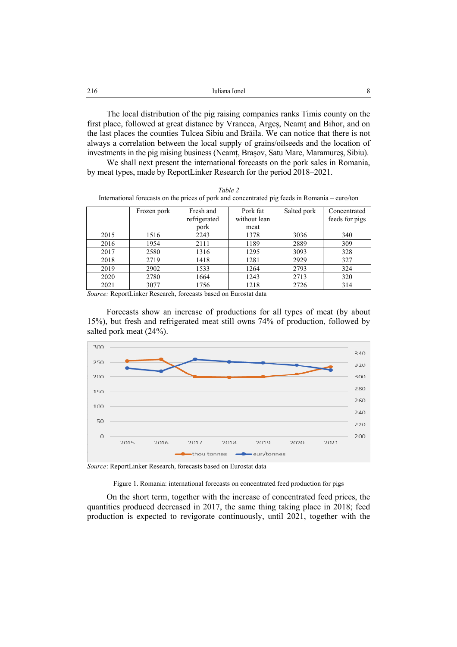| 216 | Iuliana Ionel                                                                 |  |
|-----|-------------------------------------------------------------------------------|--|
|     |                                                                               |  |
|     | The legal distribution of the nig rejoing companies reply Timis county on the |  |

The local distribution of the pig raising companies ranks Timis county on the first place, followed at great distance by Vrancea, Argeș, Neamț and Bihor, and on the last places the counties Tulcea Sibiu and Brăila. We can notice that there is not always a correlation between the local supply of grains/oilseeds and the location of investments in the pig raising business (Neamț, Brașov, Satu Mare, Maramureș, Sibiu).

We shall next present the international forecasts on the pork sales in Romania, by meat types, made by ReportLinker Research for the period 2018–2021.

| International forecasts on the prices of pork and concentrated pig feeds in Romania – euro/ton | Table 2 |
|------------------------------------------------------------------------------------------------|---------|
|                                                                                                |         |

|      | Frozen pork | Fresh and    | Pork fat     | Salted pork | Concentrated   |
|------|-------------|--------------|--------------|-------------|----------------|
|      |             | refrigerated | without lean |             | feeds for pigs |
|      |             | pork         | meat         |             |                |
| 2015 | 1516        | 2243         | 1378         | 3036        | 340            |
| 2016 | 1954        | 2111         | 1189         | 2889        | 309            |
| 2017 | 2580        | 1316         | 1295         | 3093        | 328            |
| 2018 | 2719        | 1418         | 1281         | 2929        | 327            |
| 2019 | 2902        | 1533         | 1264         | 2793        | 324            |
| 2020 | 2780        | 1664         | 1243         | 2713        | 320            |
| 2021 | 3077        | 1756         | 1218         | 2726        | 314            |

*Source:* ReportLinker Research, forecasts based on Eurostat data

Forecasts show an increase of productions for all types of meat (by about 15%), but fresh and refrigerated meat still owns 74% of production, followed by salted pork meat (24%).



*Source*: ReportLinker Research, forecasts based on Eurostat data

Figure 1. Romania: international forecasts on concentrated feed production for pigs

On the short term, together with the increase of concentrated feed prices, the quantities produced decreased in 2017, the same thing taking place in 2018; feed production is expected to revigorate continuously, until 2021, together with the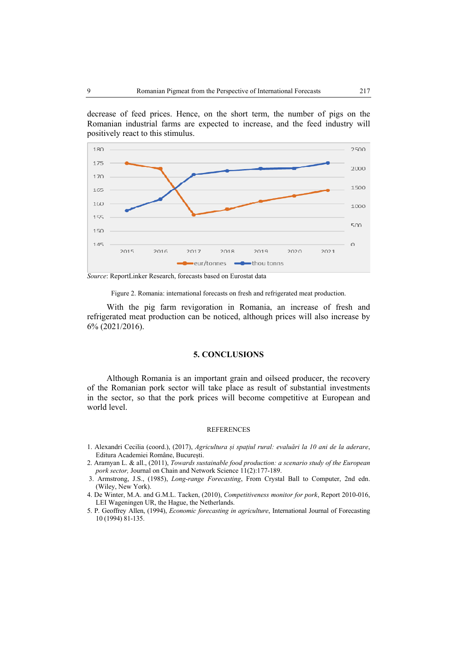decrease of feed prices. Hence, on the short term, the number of pigs on the Romanian industrial farms are expected to increase, and the feed industry will positively react to this stimulus.



*Source*: ReportLinker Research, forecasts based on Eurostat data

Figure 2. Romania: international forecasts on fresh and refrigerated meat production.

With the pig farm revigoration in Romania, an increase of fresh and refrigerated meat production can be noticed, although prices will also increase by 6% (2021/2016).

### **5. CONCLUSIONS**

Although Romania is an important grain and oilseed producer, the recovery of the Romanian pork sector will take place as result of substantial investments in the sector, so that the pork prices will become competitive at European and world level.

### **REFERENCES**

- 1. Alexandri Cecilia (coord.), (2017), *Agricultura și spațiul rural: evaluări la 10 ani de la aderare*, Editura Academiei Române, București.
- 2. Aramyan L. & all., (2011), *Towards sustainable food production: a scenario study of the European pork sector,* Journal on Chain and Network Science 11(2):177-189.
- 3. Armstrong, J.S., (1985), *Long-range Forecasting*, From Crystal Ball to Computer, 2nd edn. (Wiley, New York).
- 4. De Winter, M.A. and G.M.L. Tacken, (2010), *Competitiveness monitor for pork*, Report 2010-016, LEI Wageningen UR, the Hague, the Netherlands.
- 5. P. Geoffrey Allen, (1994), *Economic forecasting in agriculture*, International Journal of Forecasting 10 (1994) 81-135.